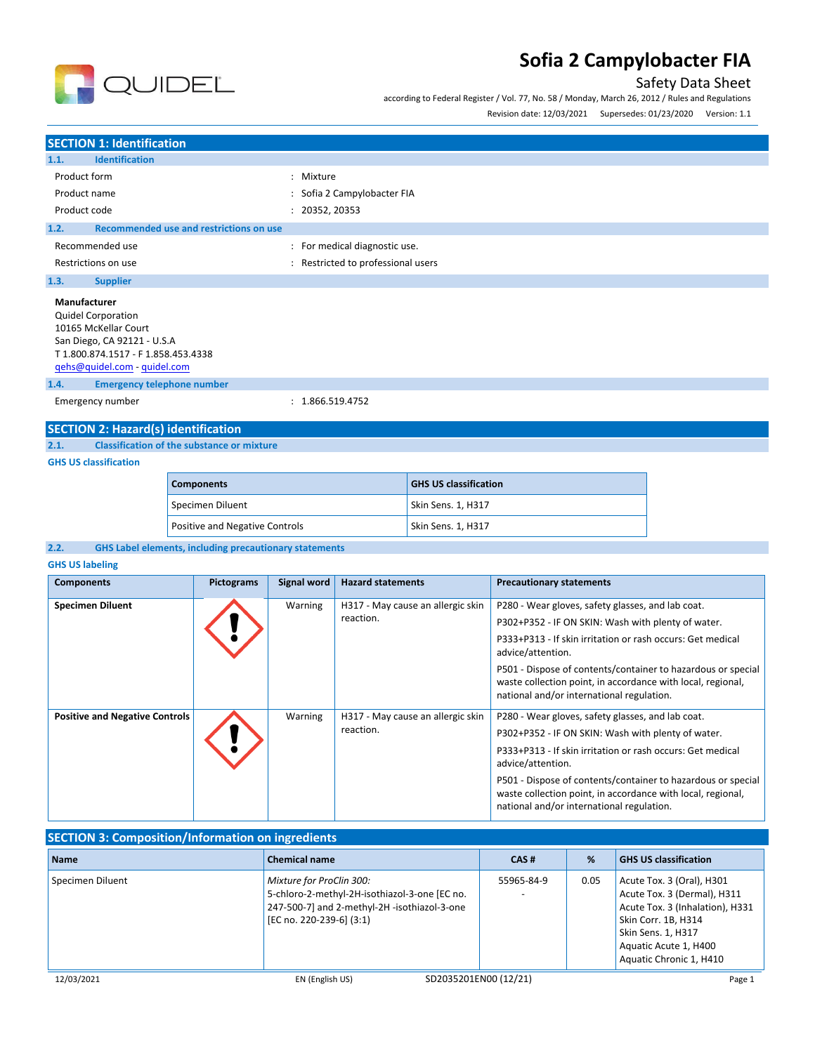

## Safety Data Sheet

according to Federal Register / Vol. 77, No. 58 / Monday, March 26, 2012 / Rules and Regulations

Revision date: 12/03/2021 Supersedes: 01/23/2020 Version: 1.1

### **SECTION 1: Identification 1.1. Identification** Product form  $\qquad \qquad : \qquad$  Mixture Product name  $\qquad \qquad :$  Sofia 2 Campylobacter FIA Product code : 20352, 20353 **1.2. Recommended use and restrictions on use** Recommended use  $\qquad \qquad$ : For medical diagnostic use. Restrictions on use **interest in the CO** and Restricted to professional users **1.3. Supplier Manufacturer** Quidel Corporation 10165 McKellar Court San Diego, CA 92121 - U.S.A T 1.800.874.1517 - F 1.858.453.4338 [qehs@quidel.com](mailto:qehs@quidel.com) - [quidel.com](http://quidel.com/)

**1.4. Emergency telephone number**

Emergency number : 1.866.519.4752

# **SECTION 2: Hazard(s) identification**

**2.1. Classification of the substance or mixture**

#### **GHS US classification**

| <b>Components</b>                     | <b>GHS US classification</b> |
|---------------------------------------|------------------------------|
| Specimen Diluent                      | Skin Sens. 1, H317           |
| <b>Positive and Negative Controls</b> | Skin Sens. 1, H317           |

#### **2.2. GHS Label elements, including precautionary statements**

#### **GHS US labeling**

| <b>Components</b>                     | <b>Pictograms</b> | Signal word | <b>Hazard statements</b>          | <b>Precautionary statements</b>                                                                                                                                          |
|---------------------------------------|-------------------|-------------|-----------------------------------|--------------------------------------------------------------------------------------------------------------------------------------------------------------------------|
| <b>Specimen Diluent</b>               |                   | Warning     | H317 - May cause an allergic skin | P280 - Wear gloves, safety glasses, and lab coat.                                                                                                                        |
|                                       |                   |             | reaction.                         | P302+P352 - IF ON SKIN: Wash with plenty of water.                                                                                                                       |
|                                       |                   |             |                                   | P333+P313 - If skin irritation or rash occurs: Get medical<br>advice/attention.                                                                                          |
|                                       |                   |             |                                   | P501 - Dispose of contents/container to hazardous or special<br>waste collection point, in accordance with local, regional,<br>national and/or international regulation. |
| <b>Positive and Negative Controls</b> |                   | Warning     | H317 - May cause an allergic skin | P280 - Wear gloves, safety glasses, and lab coat.                                                                                                                        |
|                                       |                   |             | reaction.                         | P302+P352 - IF ON SKIN: Wash with plenty of water.                                                                                                                       |
|                                       |                   |             |                                   | P333+P313 - If skin irritation or rash occurs: Get medical<br>advice/attention.                                                                                          |
|                                       |                   |             |                                   | P501 - Dispose of contents/container to hazardous or special<br>waste collection point, in accordance with local, regional,<br>national and/or international regulation. |

### **SECTION 3: Composition/Information on ingredients**

| <b>Name</b>      | <b>Chemical name</b>                                                                                                                                  | CAS#                  | %    | <b>GHS US classification</b>                                                                                                                                                                 |
|------------------|-------------------------------------------------------------------------------------------------------------------------------------------------------|-----------------------|------|----------------------------------------------------------------------------------------------------------------------------------------------------------------------------------------------|
| Specimen Diluent | Mixture for ProClin 300:<br>5-chloro-2-methyl-2H-isothiazol-3-one [EC no.<br>247-500-7] and 2-methyl-2H -isothiazol-3-one<br>[EC no. 220-239-6] (3:1) | 55965-84-9            | 0.05 | Acute Tox. 3 (Oral), H301<br>Acute Tox. 3 (Dermal), H311<br>Acute Tox. 3 (Inhalation), H331<br>Skin Corr. 1B, H314<br>Skin Sens. 1, H317<br>Aquatic Acute 1, H400<br>Aquatic Chronic 1, H410 |
| 12/03/2021       | EN (English US)                                                                                                                                       | SD2035201EN00 (12/21) |      | Page 1                                                                                                                                                                                       |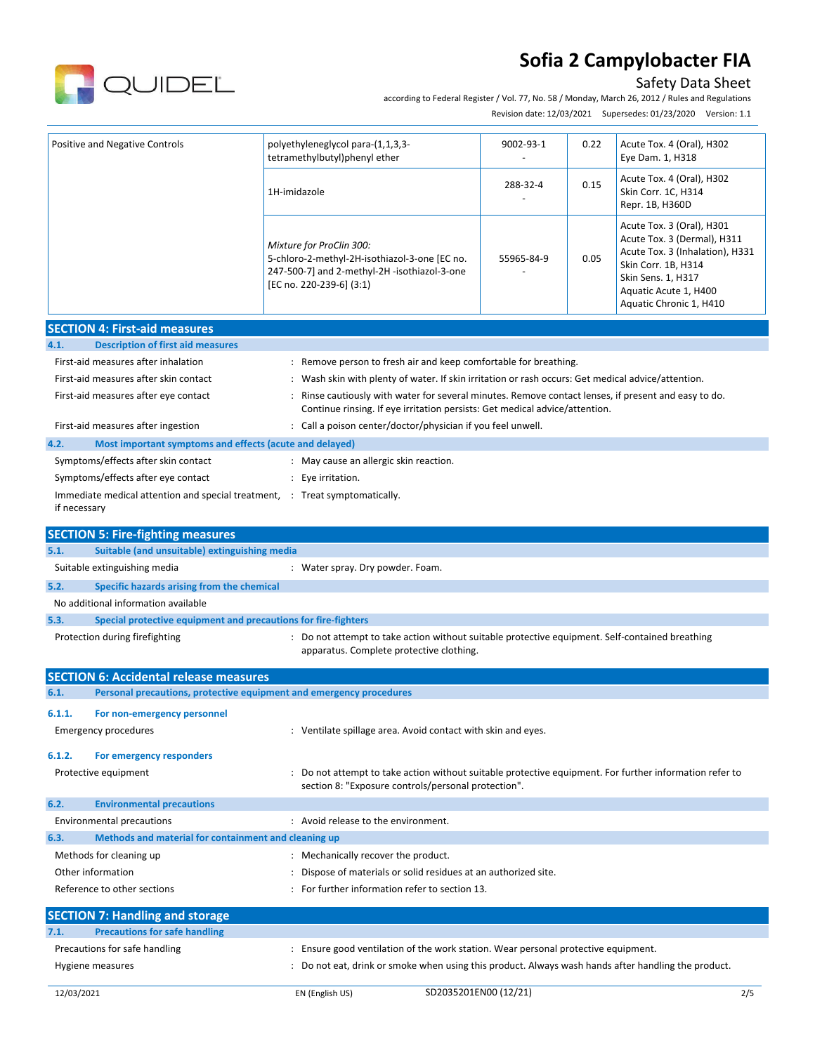

### Safety Data Sheet

according to Federal Register / Vol. 77, No. 58 / Monday, March 26, 2012 / Rules and Regulations

Revision date: 12/03/2021 Supersedes: 01/23/2020 Version: 1.1

| Positive and Negative Controls                                         | polyethyleneglycol para-(1,1,3,3-<br>tetramethylbutyl)phenyl ether                                                                                                                | 9002-93-1  | 0.22 | Acute Tox. 4 (Oral), H302<br>Eye Dam. 1, H318                                                                                                                                                |  |
|------------------------------------------------------------------------|-----------------------------------------------------------------------------------------------------------------------------------------------------------------------------------|------------|------|----------------------------------------------------------------------------------------------------------------------------------------------------------------------------------------------|--|
|                                                                        | 1H-imidazole                                                                                                                                                                      | 288-32-4   | 0.15 | Acute Tox. 4 (Oral), H302<br>Skin Corr. 1C, H314<br>Repr. 1B, H360D                                                                                                                          |  |
|                                                                        | Mixture for ProClin 300:<br>5-chloro-2-methyl-2H-isothiazol-3-one [EC no.<br>247-500-7] and 2-methyl-2H -isothiazol-3-one<br>[EC no. 220-239-6] (3:1)                             | 55965-84-9 | 0.05 | Acute Tox. 3 (Oral), H301<br>Acute Tox. 3 (Dermal), H311<br>Acute Tox. 3 (Inhalation), H331<br>Skin Corr. 1B, H314<br>Skin Sens. 1, H317<br>Aquatic Acute 1, H400<br>Aquatic Chronic 1, H410 |  |
| <b>SECTION 4: First-aid measures</b>                                   |                                                                                                                                                                                   |            |      |                                                                                                                                                                                              |  |
| 4.1.<br><b>Description of first aid measures</b>                       |                                                                                                                                                                                   |            |      |                                                                                                                                                                                              |  |
| First-aid measures after inhalation                                    | : Remove person to fresh air and keep comfortable for breathing.                                                                                                                  |            |      |                                                                                                                                                                                              |  |
| First-aid measures after skin contact                                  | : Wash skin with plenty of water. If skin irritation or rash occurs: Get medical advice/attention.                                                                                |            |      |                                                                                                                                                                                              |  |
| First-aid measures after eye contact                                   | Rinse cautiously with water for several minutes. Remove contact lenses, if present and easy to do.<br>Continue rinsing. If eye irritation persists: Get medical advice/attention. |            |      |                                                                                                                                                                                              |  |
| First-aid measures after ingestion                                     | : Call a poison center/doctor/physician if you feel unwell.                                                                                                                       |            |      |                                                                                                                                                                                              |  |
| 4.2.<br>Most important symptoms and effects (acute and delayed)        |                                                                                                                                                                                   |            |      |                                                                                                                                                                                              |  |
| Symptoms/effects after skin contact                                    | : May cause an allergic skin reaction.                                                                                                                                            |            |      |                                                                                                                                                                                              |  |
| Symptoms/effects after eye contact                                     | : Eye irritation.                                                                                                                                                                 |            |      |                                                                                                                                                                                              |  |
| if necessary                                                           | Immediate medical attention and special treatment, : Treat symptomatically.                                                                                                       |            |      |                                                                                                                                                                                              |  |
| <b>SECTION 5: Fire-fighting measures</b>                               |                                                                                                                                                                                   |            |      |                                                                                                                                                                                              |  |
| 5.1.<br>Suitable (and unsuitable) extinguishing media                  |                                                                                                                                                                                   |            |      |                                                                                                                                                                                              |  |
| Suitable extinguishing media                                           | : Water spray. Dry powder. Foam.                                                                                                                                                  |            |      |                                                                                                                                                                                              |  |
| 5.2.<br>Specific hazards arising from the chemical                     |                                                                                                                                                                                   |            |      |                                                                                                                                                                                              |  |
| No additional information available                                    |                                                                                                                                                                                   |            |      |                                                                                                                                                                                              |  |
| 5.3.<br>Special protective equipment and precautions for fire-fighters |                                                                                                                                                                                   |            |      |                                                                                                                                                                                              |  |
| Protection during firefighting                                         | : Do not attempt to take action without suitable protective equipment. Self-contained breathing<br>apparatus. Complete protective clothing.                                       |            |      |                                                                                                                                                                                              |  |
| <b>SECTION 6: Accidental release measures</b>                          |                                                                                                                                                                                   |            |      |                                                                                                                                                                                              |  |
| 6.1.                                                                   | Personal precautions, protective equipment and emergency procedures                                                                                                               |            |      |                                                                                                                                                                                              |  |
| For non-emergency personnel<br>6.1.1.                                  |                                                                                                                                                                                   |            |      |                                                                                                                                                                                              |  |
| <b>Emergency procedures</b>                                            | : Ventilate spillage area. Avoid contact with skin and eyes.                                                                                                                      |            |      |                                                                                                                                                                                              |  |
|                                                                        |                                                                                                                                                                                   |            |      |                                                                                                                                                                                              |  |
| 6.1.2.<br>For emergency responders<br>Protective equipment             | Do not attempt to take action without suitable protective equipment. For further information refer to                                                                             |            |      |                                                                                                                                                                                              |  |
|                                                                        | section 8: "Exposure controls/personal protection".                                                                                                                               |            |      |                                                                                                                                                                                              |  |
| 6.2.<br><b>Environmental precautions</b>                               |                                                                                                                                                                                   |            |      |                                                                                                                                                                                              |  |
| <b>Environmental precautions</b>                                       | : Avoid release to the environment.                                                                                                                                               |            |      |                                                                                                                                                                                              |  |
| 6.3.<br>Methods and material for containment and cleaning up           |                                                                                                                                                                                   |            |      |                                                                                                                                                                                              |  |
| Methods for cleaning up                                                | : Mechanically recover the product.                                                                                                                                               |            |      |                                                                                                                                                                                              |  |
| Other information                                                      | Dispose of materials or solid residues at an authorized site.                                                                                                                     |            |      |                                                                                                                                                                                              |  |
| Reference to other sections                                            | : For further information refer to section 13.                                                                                                                                    |            |      |                                                                                                                                                                                              |  |
| <b>SECTION 7: Handling and storage</b>                                 |                                                                                                                                                                                   |            |      |                                                                                                                                                                                              |  |
| 7.1.<br><b>Precautions for safe handling</b>                           |                                                                                                                                                                                   |            |      |                                                                                                                                                                                              |  |
| Precautions for safe handling                                          | : Ensure good ventilation of the work station. Wear personal protective equipment.                                                                                                |            |      |                                                                                                                                                                                              |  |
| Hygiene measures                                                       | : Do not eat, drink or smoke when using this product. Always wash hands after handling the product.                                                                               |            |      |                                                                                                                                                                                              |  |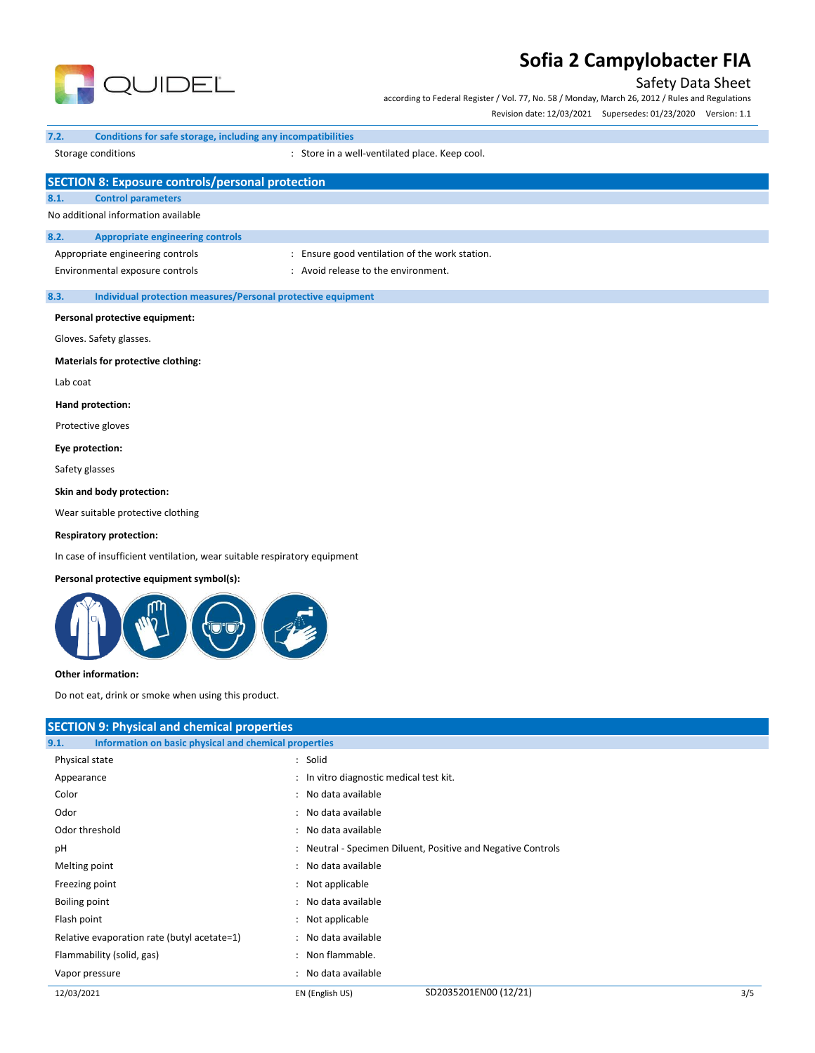

## Safety Data Sheet

according to Federal Register / Vol. 77, No. 58 / Monday, March 26, 2012 / Rules and Regulations

Revision date: 12/03/2021 Supersedes: 01/23/2020 Version: 1.1

#### **7.2. Conditions for safe storage, including any incompatibilities**

Storage conditions **Store in a well-ventilated place. Keep cool.** Store in a well-ventilated place. Keep cool.

|          | <b>SECTION 8: Exposure controls/personal protection</b>      |                                                |  |  |  |
|----------|--------------------------------------------------------------|------------------------------------------------|--|--|--|
| 8.1.     | <b>Control parameters</b>                                    |                                                |  |  |  |
|          | No additional information available                          |                                                |  |  |  |
| 8.2.     | <b>Appropriate engineering controls</b>                      |                                                |  |  |  |
|          | Appropriate engineering controls                             | : Ensure good ventilation of the work station. |  |  |  |
|          | Environmental exposure controls                              | : Avoid release to the environment.            |  |  |  |
| 8.3.     | Individual protection measures/Personal protective equipment |                                                |  |  |  |
|          | Personal protective equipment:                               |                                                |  |  |  |
|          | Gloves. Safety glasses.                                      |                                                |  |  |  |
|          | Materials for protective clothing:                           |                                                |  |  |  |
| Lab coat |                                                              |                                                |  |  |  |
|          | Hand protection:                                             |                                                |  |  |  |
|          | Protective gloves                                            |                                                |  |  |  |
|          | Eye protection:                                              |                                                |  |  |  |

Safety glasses

**Skin and body protection:**

Wear suitable protective clothing

#### **Respiratory protection:**

In case of insufficient ventilation, wear suitable respiratory equipment

#### **Personal protective equipment symbol(s):**



#### **Other information:**

Do not eat, drink or smoke when using this product.

| <b>SECTION 9: Physical and chemical properties</b>            |                                         |                                                              |     |  |
|---------------------------------------------------------------|-----------------------------------------|--------------------------------------------------------------|-----|--|
| Information on basic physical and chemical properties<br>9.1. |                                         |                                                              |     |  |
| Physical state                                                | : Solid                                 |                                                              |     |  |
| Appearance                                                    | : In vitro diagnostic medical test kit. |                                                              |     |  |
| Color                                                         | : No data available                     |                                                              |     |  |
| Odor                                                          | : No data available                     |                                                              |     |  |
| Odor threshold                                                | : No data available                     |                                                              |     |  |
| рH                                                            |                                         | : Neutral - Specimen Diluent, Positive and Negative Controls |     |  |
| Melting point                                                 | : No data available                     |                                                              |     |  |
| Freezing point                                                | : Not applicable                        |                                                              |     |  |
| Boiling point                                                 | : No data available                     |                                                              |     |  |
| Flash point                                                   | : Not applicable                        |                                                              |     |  |
| Relative evaporation rate (butyl acetate=1)                   | : No data available                     |                                                              |     |  |
| Flammability (solid, gas)                                     | : Non flammable.                        |                                                              |     |  |
| Vapor pressure                                                | : No data available                     |                                                              |     |  |
| 12/03/2021                                                    | EN (English US)                         | SD2035201EN00 (12/21)                                        | 3/5 |  |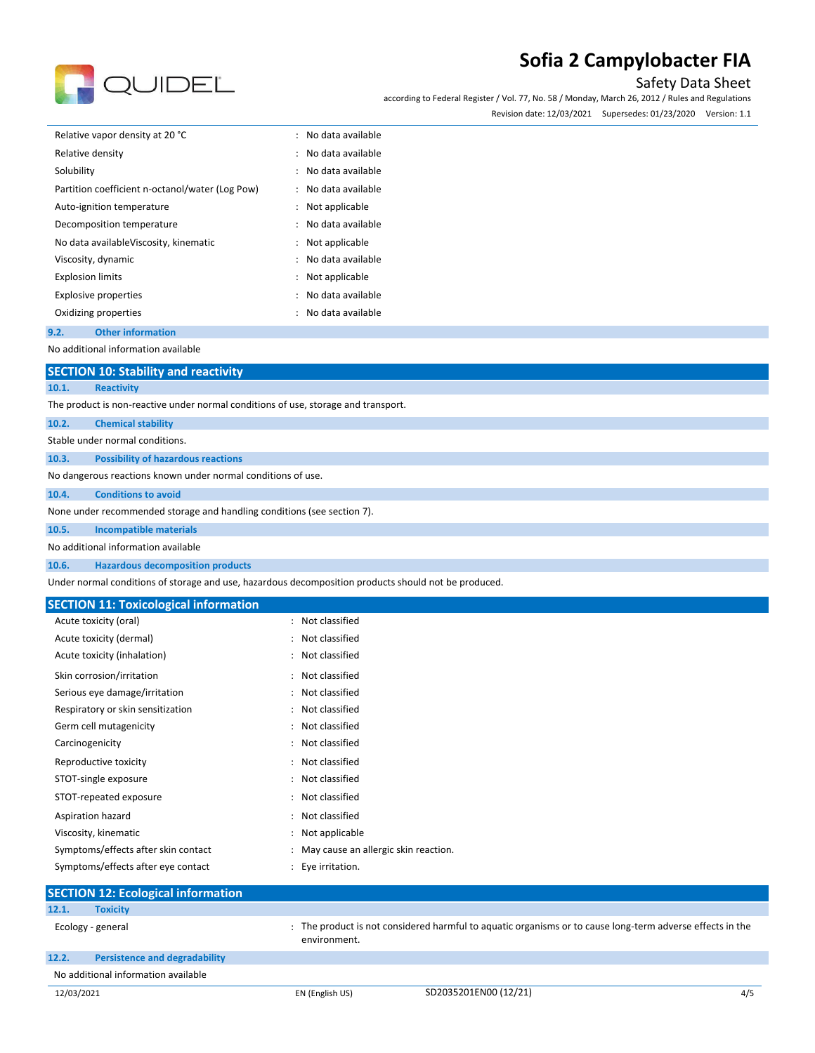

## Safety Data Sheet

according to Federal Register / Vol. 77, No. 58 / Monday, March 26, 2012 / Rules and Regulations

Revision date: 12/03/2021 Supersedes: 01/23/2020 Version: 1.1

| Relative vapor density at 20 °C                 | : No data available |
|-------------------------------------------------|---------------------|
| Relative density                                | : No data available |
| Solubility                                      | : No data available |
| Partition coefficient n-octanol/water (Log Pow) | : No data available |
| Auto-ignition temperature                       | : Not applicable    |
| Decomposition temperature                       | : No data available |
| No data availableViscosity, kinematic           | : Not applicable    |
| Viscosity, dynamic                              | : No data available |
| <b>Explosion limits</b>                         | : Not applicable    |
| <b>Explosive properties</b>                     | : No data available |
| Oxidizing properties                            | : No data available |

#### **9.2. Other information**

No additional information available

#### **SECTION 10: Stability and reactivity**

#### **10.1. Reactivity**

The product is non-reactive under normal conditions of use, storage and transport.

| 10.2. | <b>Chemical stability</b> |  |
|-------|---------------------------|--|
|-------|---------------------------|--|

#### Stable under normal conditions.

**10.3. Possibility of hazardous reactions**

No dangerous reactions known under normal conditions of use.

#### **10.4. Conditions to avoid**

None under recommended storage and handling conditions (see section 7).

**10.5. Incompatible materials**

#### No additional information available

**10.6. Hazardous decomposition products**

Under normal conditions of storage and use, hazardous decomposition products should not be produced.

#### **SECTION 11: Toxicological information**

| Acute toxicity (oral)               | Not classified                       |
|-------------------------------------|--------------------------------------|
| Acute toxicity (dermal)             | Not classified                       |
| Acute toxicity (inhalation)         | Not classified                       |
| Skin corrosion/irritation           | Not classified                       |
| Serious eye damage/irritation       | Not classified                       |
| Respiratory or skin sensitization   | Not classified                       |
| Germ cell mutagenicity              | Not classified                       |
| Carcinogenicity                     | Not classified                       |
| Reproductive toxicity               | Not classified                       |
| STOT-single exposure                | Not classified                       |
| STOT-repeated exposure              | Not classified                       |
| Aspiration hazard                   | Not classified                       |
| Viscosity, kinematic                | Not applicable                       |
| Symptoms/effects after skin contact | May cause an allergic skin reaction. |
| Symptoms/effects after eye contact  | Eye irritation.                      |

|            | <b>SECTION 12: Ecological information</b> |                 |                                                                                                           |     |
|------------|-------------------------------------------|-----------------|-----------------------------------------------------------------------------------------------------------|-----|
| 12.1.      | <b>Toxicity</b>                           |                 |                                                                                                           |     |
|            | Ecology - general                         | environment.    | : The product is not considered harmful to aquatic organisms or to cause long-term adverse effects in the |     |
| 12.2.      | <b>Persistence and degradability</b>      |                 |                                                                                                           |     |
|            | No additional information available       |                 |                                                                                                           |     |
| 12/03/2021 |                                           | EN (English US) | SD2035201EN00 (12/21)                                                                                     | 4/5 |